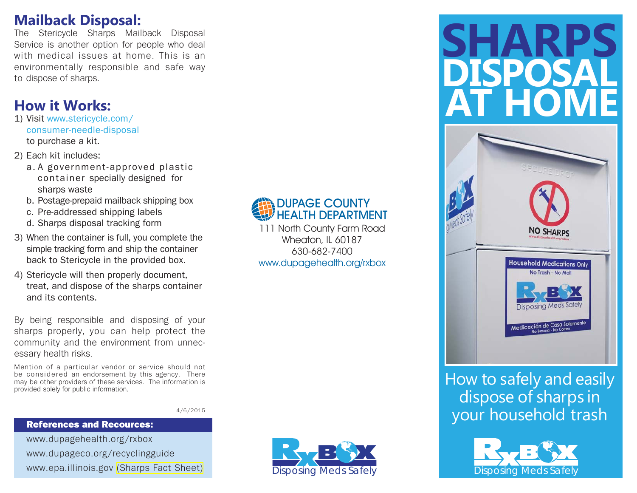# **Mailback Disposal:**

The Stericycle Sharps Mailback Disposal Service is another option for people who deal with medical issues at home. This is an environmentally responsible and safe way to dispose of sharps.

# **How it Works:**

- 1) Visit www.stericycle.com/ consumer-needle-disposal to purchase a kit.
- 2) Each kit includes:
	- a. A government-approved plastic container specially designed for sharps waste
	- b. Postage-prepaid mailback shipping box
	- c. Pre-addressed shipping labels
	- d. Sharps disposal tracking form
- 3) When the container is full, you complete the simple tracking form and ship the container back to Stericycle in the provided box.
- 4) Stericycle will then properly document, treat, and dispose of the sharps container and its contents.

By being responsible and disposing of your sharps properly, you can help protect the community and the environment from unnecessary health risks.

Mention of a particular vendor or service should not be considered an endorsement by this agency. There may be other providers of these services. The information is provided solely for public information.

4/6/2015

#### References and Recources:

www.dupagehealth.org/rxbox www.dupageco.org/recyclingguide www.epa.illinois.gov [\(Sharps Fact Sheet\)](http://epa.illinois.gov/Assets/iepa/waste-management/medication-disposal/sharps-fact-sheet.pdf) Disposing Meds Safely



111 North County Farm Road Wheaton, IL 60187 630-682-7400www.dupagehealth.org/rxbox







How to safely and easily dispose of sharps in your household trash